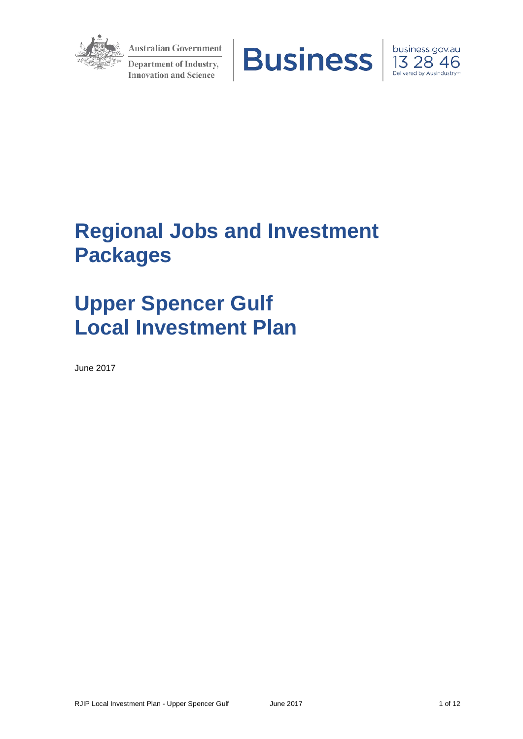

**Australian Government** Department of Industry, **Innovation and Science** 





# **Regional Jobs and Investment Packages**

# **Upper Spencer Gulf Local Investment Plan**

June 2017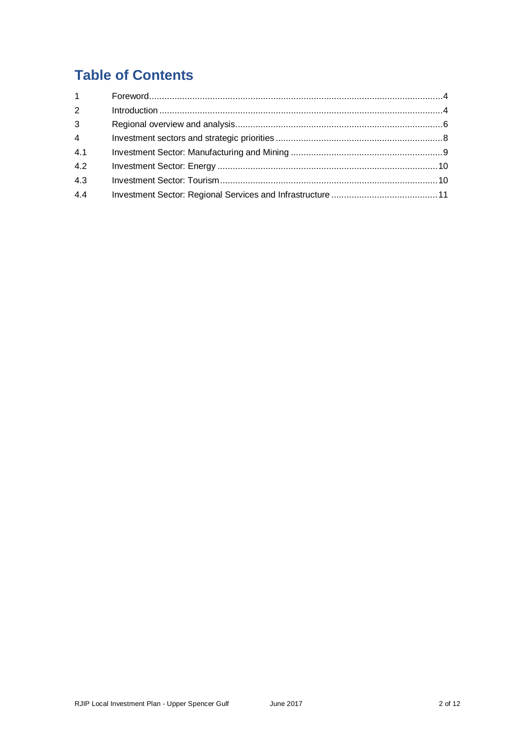## **Table of Contents**

| $\mathbf{1}$   |  |
|----------------|--|
| 2              |  |
| $\mathbf{3}$   |  |
| $\overline{4}$ |  |
| 4.1            |  |
| 4.2            |  |
| 4.3            |  |
| 4.4            |  |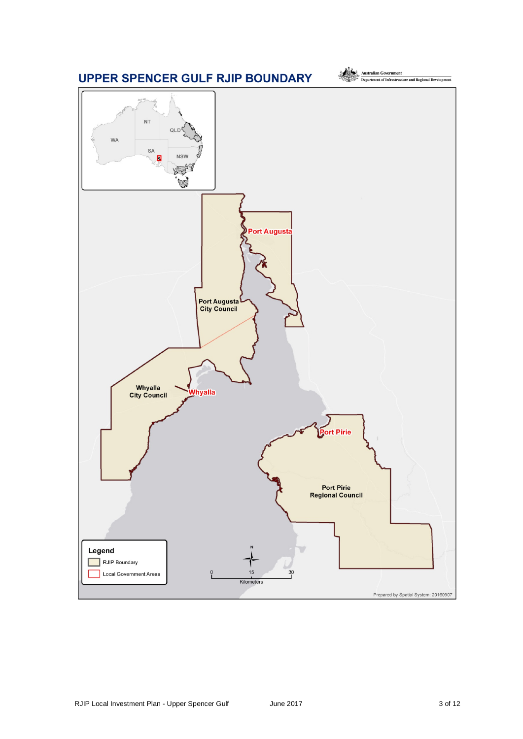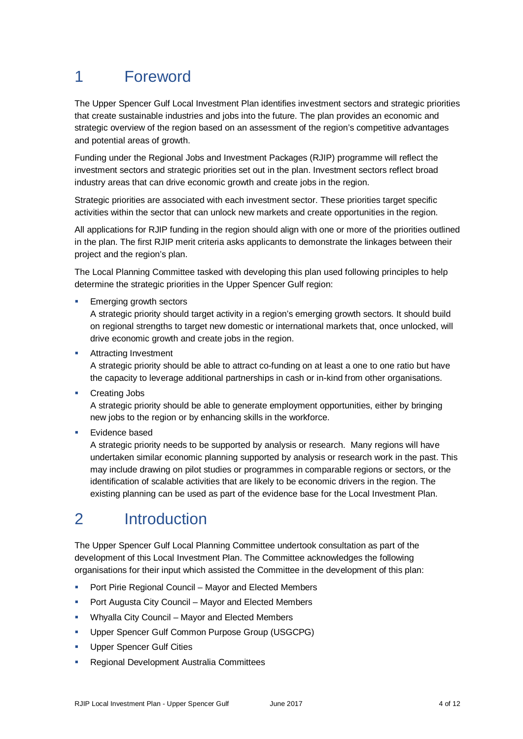# 1 Foreword

The Upper Spencer Gulf Local Investment Plan identifies investment sectors and strategic priorities that create sustainable industries and jobs into the future. The plan provides an economic and strategic overview of the region based on an assessment of the region's competitive advantages and potential areas of growth.

Funding under the Regional Jobs and Investment Packages (RJIP) programme will reflect the investment sectors and strategic priorities set out in the plan. Investment sectors reflect broad industry areas that can drive economic growth and create jobs in the region.

Strategic priorities are associated with each investment sector. These priorities target specific activities within the sector that can unlock new markets and create opportunities in the region.

All applications for RJIP funding in the region should align with one or more of the priorities outlined in the plan. The first RJIP merit criteria asks applicants to demonstrate the linkages between their project and the region's plan.

The Local Planning Committee tasked with developing this plan used following principles to help determine the strategic priorities in the Upper Spencer Gulf region:

Emerging growth sectors

A strategic priority should target activity in a region's emerging growth sectors. It should build on regional strengths to target new domestic or international markets that, once unlocked, will drive economic growth and create jobs in the region.

**Attracting Investment** 

A strategic priority should be able to attract co-funding on at least a one to one ratio but have the capacity to leverage additional partnerships in cash or in-kind from other organisations.

**Creating Jobs** 

A strategic priority should be able to generate employment opportunities, either by bringing new jobs to the region or by enhancing skills in the workforce.

Evidence based

A strategic priority needs to be supported by analysis or research. Many regions will have undertaken similar economic planning supported by analysis or research work in the past. This may include drawing on pilot studies or programmes in comparable regions or sectors, or the identification of scalable activities that are likely to be economic drivers in the region. The existing planning can be used as part of the evidence base for the Local Investment Plan.

# 2 Introduction

The Upper Spencer Gulf Local Planning Committee undertook consultation as part of the development of this Local Investment Plan. The Committee acknowledges the following organisations for their input which assisted the Committee in the development of this plan:

- **Port Pirie Regional Council Mayor and Elected Members**
- **Port Augusta City Council Mayor and Elected Members**
- Whyalla City Council Mayor and Elected Members
- **Upper Spencer Gulf Common Purpose Group (USGCPG)**
- **Upper Spencer Gulf Cities**
- **Regional Development Australia Committees**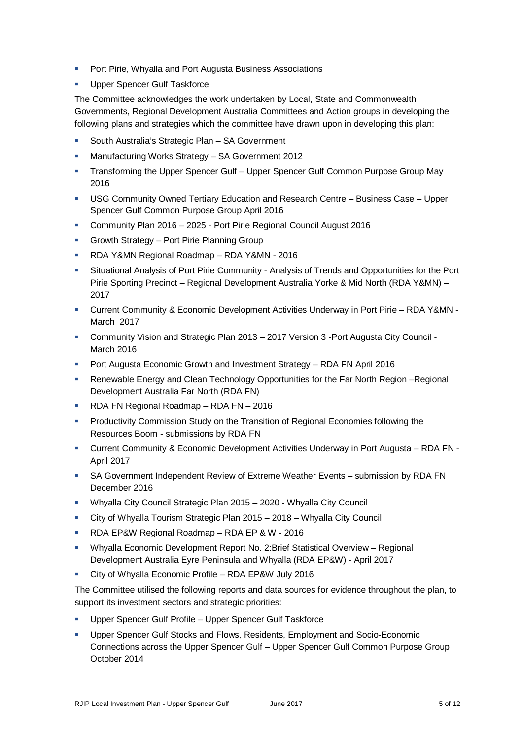- **Port Pirie, Whyalla and Port Augusta Business Associations**
- Upper Spencer Gulf Taskforce

The Committee acknowledges the work undertaken by Local, State and Commonwealth Governments, Regional Development Australia Committees and Action groups in developing the following plans and strategies which the committee have drawn upon in developing this plan:

- South Australia's Strategic Plan SA Government
- Manufacturing Works Strategy SA Government 2012
- Transforming the Upper Spencer Gulf Upper Spencer Gulf Common Purpose Group May 2016
- USG Community Owned Tertiary Education and Research Centre Business Case Upper Spencer Gulf Common Purpose Group April 2016
- Community Plan 2016 2025 Port Pirie Regional Council August 2016
- **Growth Strategy Port Pirie Planning Group**
- RDA Y&MN Regional Roadmap RDA Y&MN 2016
- Situational Analysis of Port Pirie Community Analysis of Trends and Opportunities for the Port Pirie Sporting Precinct – Regional Development Australia Yorke & Mid North (RDA Y&MN) – 2017
- Current Community & Economic Development Activities Underway in Port Pirie RDA Y&MN March 2017
- Community Vision and Strategic Plan 2013 2017 Version 3 -Port Augusta City Council March 2016
- Port Augusta Economic Growth and Investment Strategy RDA FN April 2016
- Renewable Energy and Clean Technology Opportunities for the Far North Region Regional Development Australia Far North (RDA FN)
- RDA FN Regional Roadmap RDA FN 2016
- Productivity Commission Study on the Transition of Regional Economies following the Resources Boom - submissions by RDA FN
- Current Community & Economic Development Activities Underway in Port Augusta RDA FN April 2017
- SA Government Independent Review of Extreme Weather Events submission by RDA FN December 2016
- Whyalla City Council Strategic Plan 2015 2020 Whyalla City Council
- City of Whyalla Tourism Strategic Plan 2015 2018 Whyalla City Council
- RDA EP&W Regional Roadmap RDA EP & W 2016
- Whyalla Economic Development Report No. 2:Brief Statistical Overview Regional Development Australia Eyre Peninsula and Whyalla (RDA EP&W) - April 2017
- City of Whyalla Economic Profile RDA EP&W July 2016

The Committee utilised the following reports and data sources for evidence throughout the plan, to support its investment sectors and strategic priorities:

- Upper Spencer Gulf Profile Upper Spencer Gulf Taskforce
- **Upper Spencer Gulf Stocks and Flows, Residents, Employment and Socio-Economic** Connections across the Upper Spencer Gulf – Upper Spencer Gulf Common Purpose Group October 2014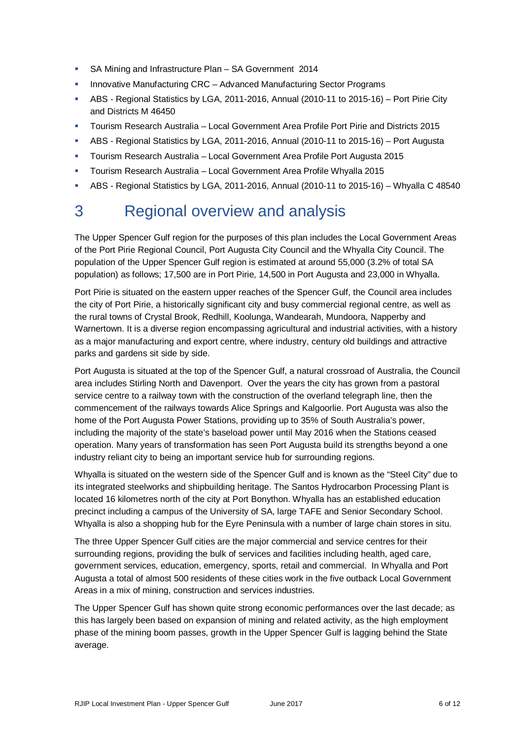- SA Mining and Infrastructure Plan SA Government 2014
- Innovative Manufacturing CRC Advanced Manufacturing Sector Programs
- ABS Regional Statistics by LGA, 2011-2016, Annual (2010-11 to 2015-16) Port Pirie City and Districts M 46450
- Tourism Research Australia Local Government Area Profile Port Pirie and Districts 2015
- ABS Regional Statistics by LGA, 2011-2016, Annual (2010-11 to 2015-16) Port Augusta
- **Tourism Research Australia Local Government Area Profile Port Augusta 2015**
- Tourism Research Australia Local Government Area Profile Whyalla 2015
- ABS Regional Statistics by LGA, 2011-2016, Annual (2010-11 to 2015-16) Whyalla C 48540

# 3 Regional overview and analysis

The Upper Spencer Gulf region for the purposes of this plan includes the Local Government Areas of the Port Pirie Regional Council, Port Augusta City Council and the Whyalla City Council. The population of the Upper Spencer Gulf region is estimated at around 55,000 (3.2% of total SA population) as follows; 17,500 are in Port Pirie, 14,500 in Port Augusta and 23,000 in Whyalla.

Port Pirie is situated on the eastern upper reaches of the Spencer Gulf, the Council area includes the city of Port Pirie, a historically significant city and busy commercial regional centre, as well as the rural towns of Crystal Brook, Redhill, Koolunga, Wandearah, Mundoora, Napperby and Warnertown. It is a diverse region encompassing agricultural and industrial activities, with a history as a major manufacturing and export centre, where industry, century old buildings and attractive parks and gardens sit side by side.

Port Augusta is situated at the top of the Spencer Gulf, a natural crossroad of Australia, the Council area includes Stirling North and Davenport. Over the years the city has grown from a pastoral service centre to a railway town with the construction of the overland telegraph line, then the commencement of the railways towards Alice Springs and Kalgoorlie. Port Augusta was also the home of the Port Augusta Power Stations, providing up to 35% of South Australia's power, including the majority of the state's baseload power until May 2016 when the Stations ceased operation. Many years of transformation has seen Port Augusta build its strengths beyond a one industry reliant city to being an important service hub for surrounding regions.

Whyalla is situated on the western side of the Spencer Gulf and is known as the "Steel City" due to its integrated steelworks and shipbuilding heritage. The Santos Hydrocarbon Processing Plant is located 16 kilometres north of the city at Port Bonython. Whyalla has an established education precinct including a campus of the University of SA, large TAFE and Senior Secondary School. Whyalla is also a shopping hub for the Eyre Peninsula with a number of large chain stores in situ.

The three Upper Spencer Gulf cities are the major commercial and service centres for their surrounding regions, providing the bulk of services and facilities including health, aged care, government services, education, emergency, sports, retail and commercial. In Whyalla and Port Augusta a total of almost 500 residents of these cities work in the five outback Local Government Areas in a mix of mining, construction and services industries.

The Upper Spencer Gulf has shown quite strong economic performances over the last decade; as this has largely been based on expansion of mining and related activity, as the high employment phase of the mining boom passes, growth in the Upper Spencer Gulf is lagging behind the State average.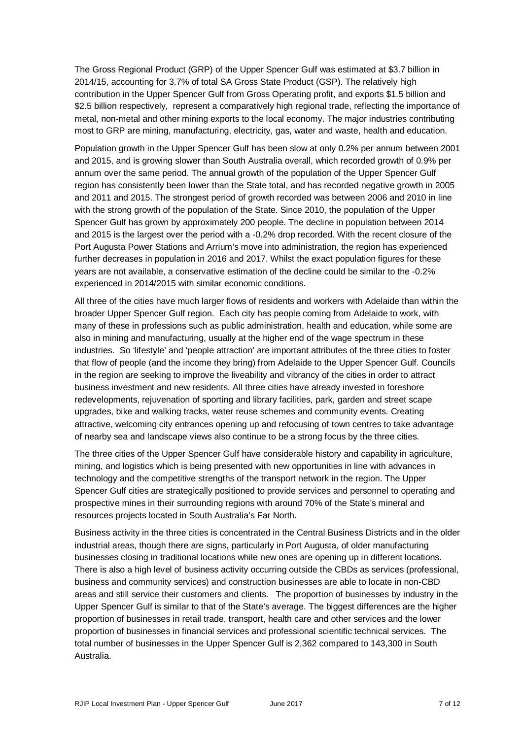The Gross Regional Product (GRP) of the Upper Spencer Gulf was estimated at \$3.7 billion in 2014/15, accounting for 3.7% of total SA Gross State Product (GSP). The relatively high contribution in the Upper Spencer Gulf from Gross Operating profit, and exports \$1.5 billion and \$2.5 billion respectively, represent a comparatively high regional trade, reflecting the importance of metal, non-metal and other mining exports to the local economy. The major industries contributing most to GRP are mining, manufacturing, electricity, gas, water and waste, health and education.

Population growth in the Upper Spencer Gulf has been slow at only 0.2% per annum between 2001 and 2015, and is growing slower than South Australia overall, which recorded growth of 0.9% per annum over the same period. The annual growth of the population of the Upper Spencer Gulf region has consistently been lower than the State total, and has recorded negative growth in 2005 and 2011 and 2015. The strongest period of growth recorded was between 2006 and 2010 in line with the strong growth of the population of the State. Since 2010, the population of the Upper Spencer Gulf has grown by approximately 200 people. The decline in population between 2014 and 2015 is the largest over the period with a -0.2% drop recorded. With the recent closure of the Port Augusta Power Stations and Arrium's move into administration, the region has experienced further decreases in population in 2016 and 2017. Whilst the exact population figures for these years are not available, a conservative estimation of the decline could be similar to the -0.2% experienced in 2014/2015 with similar economic conditions.

All three of the cities have much larger flows of residents and workers with Adelaide than within the broader Upper Spencer Gulf region. Each city has people coming from Adelaide to work, with many of these in professions such as public administration, health and education, while some are also in mining and manufacturing, usually at the higher end of the wage spectrum in these industries. So 'lifestyle' and 'people attraction' are important attributes of the three cities to foster that flow of people (and the income they bring) from Adelaide to the Upper Spencer Gulf. Councils in the region are seeking to improve the liveability and vibrancy of the cities in order to attract business investment and new residents. All three cities have already invested in foreshore redevelopments, rejuvenation of sporting and library facilities, park, garden and street scape upgrades, bike and walking tracks, water reuse schemes and community events. Creating attractive, welcoming city entrances opening up and refocusing of town centres to take advantage of nearby sea and landscape views also continue to be a strong focus by the three cities.

The three cities of the Upper Spencer Gulf have considerable history and capability in agriculture, mining, and logistics which is being presented with new opportunities in line with advances in technology and the competitive strengths of the transport network in the region. The Upper Spencer Gulf cities are strategically positioned to provide services and personnel to operating and prospective mines in their surrounding regions with around 70% of the State's mineral and resources projects located in South Australia's Far North.

Business activity in the three cities is concentrated in the Central Business Districts and in the older industrial areas, though there are signs, particularly in Port Augusta, of older manufacturing businesses closing in traditional locations while new ones are opening up in different locations. There is also a high level of business activity occurring outside the CBDs as services (professional, business and community services) and construction businesses are able to locate in non-CBD areas and still service their customers and clients. The proportion of businesses by industry in the Upper Spencer Gulf is similar to that of the State's average. The biggest differences are the higher proportion of businesses in retail trade, transport, health care and other services and the lower proportion of businesses in financial services and professional scientific technical services. The total number of businesses in the Upper Spencer Gulf is 2,362 compared to 143,300 in South Australia.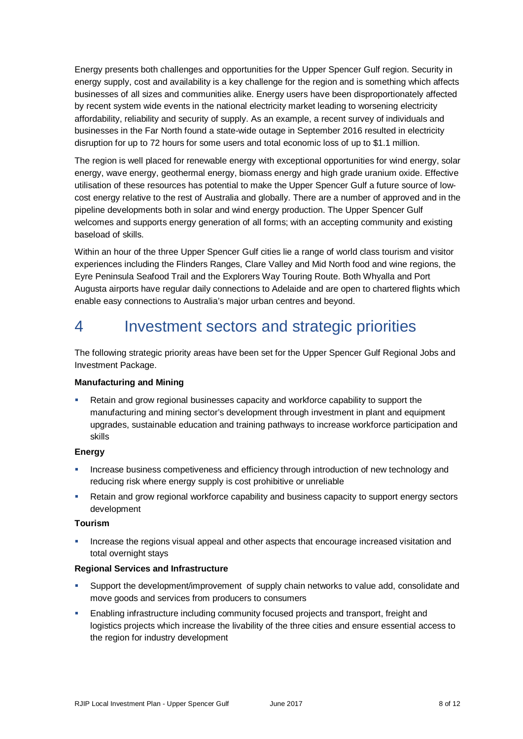Energy presents both challenges and opportunities for the Upper Spencer Gulf region. Security in energy supply, cost and availability is a key challenge for the region and is something which affects businesses of all sizes and communities alike. Energy users have been disproportionately affected by recent system wide events in the national electricity market leading to worsening electricity affordability, reliability and security of supply. As an example, a recent survey of individuals and businesses in the Far North found a state-wide outage in September 2016 resulted in electricity disruption for up to 72 hours for some users and total economic loss of up to \$1.1 million.

The region is well placed for renewable energy with exceptional opportunities for wind energy, solar energy, wave energy, geothermal energy, biomass energy and high grade uranium oxide. Effective utilisation of these resources has potential to make the Upper Spencer Gulf a future source of lowcost energy relative to the rest of Australia and globally. There are a number of approved and in the pipeline developments both in solar and wind energy production. The Upper Spencer Gulf welcomes and supports energy generation of all forms; with an accepting community and existing baseload of skills.

Within an hour of the three Upper Spencer Gulf cities lie a range of world class tourism and visitor experiences including the Flinders Ranges, Clare Valley and Mid North food and wine regions, the Eyre Peninsula Seafood Trail and the Explorers Way Touring Route. Both Whyalla and Port Augusta airports have regular daily connections to Adelaide and are open to chartered flights which enable easy connections to Australia's major urban centres and beyond.

### 4 Investment sectors and strategic priorities

The following strategic priority areas have been set for the Upper Spencer Gulf Regional Jobs and Investment Package.

#### **Manufacturing and Mining**

 Retain and grow regional businesses capacity and workforce capability to support the manufacturing and mining sector's development through investment in plant and equipment upgrades, sustainable education and training pathways to increase workforce participation and skills

#### **Energy**

- Increase business competiveness and efficiency through introduction of new technology and reducing risk where energy supply is cost prohibitive or unreliable
- Retain and grow regional workforce capability and business capacity to support energy sectors development

#### **Tourism**

 Increase the regions visual appeal and other aspects that encourage increased visitation and total overnight stays

#### **Regional Services and Infrastructure**

- Support the development/improvement of supply chain networks to value add, consolidate and move goods and services from producers to consumers
- Enabling infrastructure including community focused projects and transport, freight and logistics projects which increase the livability of the three cities and ensure essential access to the region for industry development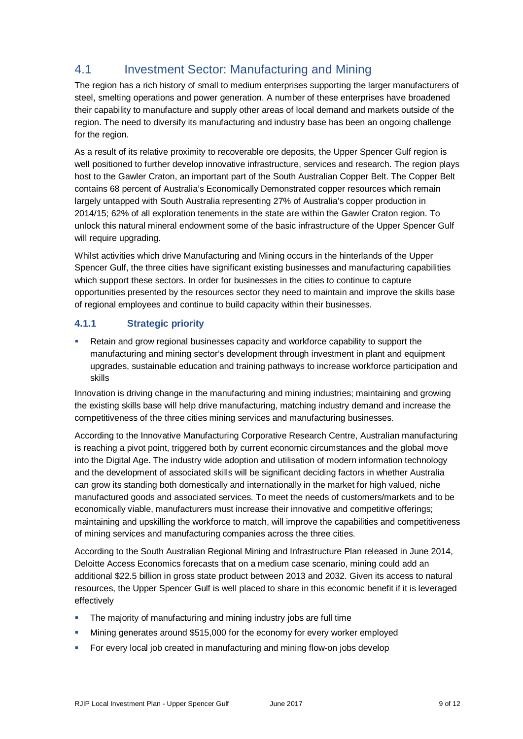### 4.1 Investment Sector: Manufacturing and Mining

The region has a rich history of small to medium enterprises supporting the larger manufacturers of steel, smelting operations and power generation. A number of these enterprises have broadened their capability to manufacture and supply other areas of local demand and markets outside of the region. The need to diversify its manufacturing and industry base has been an ongoing challenge for the region.

As a result of its relative proximity to recoverable ore deposits, the Upper Spencer Gulf region is well positioned to further develop innovative infrastructure, services and research. The region plays host to the Gawler Craton, an important part of the South Australian Copper Belt. The Copper Belt contains 68 percent of Australia's Economically Demonstrated copper resources which remain largely untapped with South Australia representing 27% of Australia's copper production in 2014/15; 62% of all exploration tenements in the state are within the Gawler Craton region. To unlock this natural mineral endowment some of the basic infrastructure of the Upper Spencer Gulf will require upgrading.

Whilst activities which drive Manufacturing and Mining occurs in the hinterlands of the Upper Spencer Gulf, the three cities have significant existing businesses and manufacturing capabilities which support these sectors. In order for businesses in the cities to continue to capture opportunities presented by the resources sector they need to maintain and improve the skills base of regional employees and continue to build capacity within their businesses.

#### **4.1.1 Strategic priority**

 Retain and grow regional businesses capacity and workforce capability to support the manufacturing and mining sector's development through investment in plant and equipment upgrades, sustainable education and training pathways to increase workforce participation and skills

Innovation is driving change in the manufacturing and mining industries; maintaining and growing the existing skills base will help drive manufacturing, matching industry demand and increase the competitiveness of the three cities mining services and manufacturing businesses.

According to the Innovative Manufacturing Corporative Research Centre, Australian manufacturing is reaching a pivot point, triggered both by current economic circumstances and the global move into the Digital Age. The industry wide adoption and utilisation of modern information technology and the development of associated skills will be significant deciding factors in whether Australia can grow its standing both domestically and internationally in the market for high valued, niche manufactured goods and associated services. To meet the needs of customers/markets and to be economically viable, manufacturers must increase their innovative and competitive offerings; maintaining and upskilling the workforce to match, will improve the capabilities and competitiveness of mining services and manufacturing companies across the three cities.

According to the South Australian Regional Mining and Infrastructure Plan released in June 2014, Deloitte Access Economics forecasts that on a medium case scenario, mining could add an additional \$22.5 billion in gross state product between 2013 and 2032. Given its access to natural resources, the Upper Spencer Gulf is well placed to share in this economic benefit if it is leveraged effectively

- **The majority of manufacturing and mining industry jobs are full time**
- Mining generates around \$515,000 for the economy for every worker employed
- For every local job created in manufacturing and mining flow-on jobs develop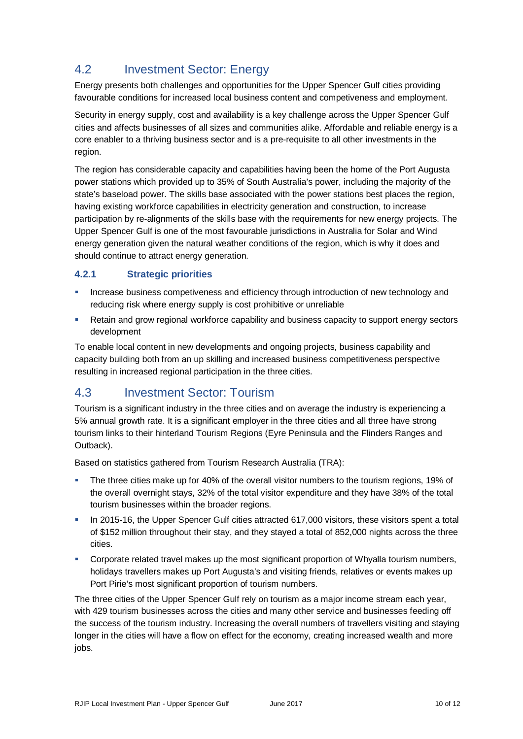### 4.2 Investment Sector: Energy

Energy presents both challenges and opportunities for the Upper Spencer Gulf cities providing favourable conditions for increased local business content and competiveness and employment.

Security in energy supply, cost and availability is a key challenge across the Upper Spencer Gulf cities and affects businesses of all sizes and communities alike. Affordable and reliable energy is a core enabler to a thriving business sector and is a pre-requisite to all other investments in the region.

The region has considerable capacity and capabilities having been the home of the Port Augusta power stations which provided up to 35% of South Australia's power, including the majority of the state's baseload power. The skills base associated with the power stations best places the region, having existing workforce capabilities in electricity generation and construction, to increase participation by re-alignments of the skills base with the requirements for new energy projects. The Upper Spencer Gulf is one of the most favourable jurisdictions in Australia for Solar and Wind energy generation given the natural weather conditions of the region, which is why it does and should continue to attract energy generation.

#### **4.2.1 Strategic priorities**

- **Increase business competiveness and efficiency through introduction of new technology and** reducing risk where energy supply is cost prohibitive or unreliable
- **Retain and grow regional workforce capability and business capacity to support energy sectors** development

To enable local content in new developments and ongoing projects, business capability and capacity building both from an up skilling and increased business competitiveness perspective resulting in increased regional participation in the three cities.

### 4.3 Investment Sector: Tourism

Tourism is a significant industry in the three cities and on average the industry is experiencing a 5% annual growth rate. It is a significant employer in the three cities and all three have strong tourism links to their hinterland Tourism Regions (Eyre Peninsula and the Flinders Ranges and Outback).

Based on statistics gathered from Tourism Research Australia (TRA):

- The three cities make up for 40% of the overall visitor numbers to the tourism regions, 19% of the overall overnight stays, 32% of the total visitor expenditure and they have 38% of the total tourism businesses within the broader regions.
- In 2015-16, the Upper Spencer Gulf cities attracted 617,000 visitors, these visitors spent a total of \$152 million throughout their stay, and they stayed a total of 852,000 nights across the three cities.
- Corporate related travel makes up the most significant proportion of Whyalla tourism numbers, holidays travellers makes up Port Augusta's and visiting friends, relatives or events makes up Port Pirie's most significant proportion of tourism numbers.

The three cities of the Upper Spencer Gulf rely on tourism as a major income stream each year, with 429 tourism businesses across the cities and many other service and businesses feeding off the success of the tourism industry. Increasing the overall numbers of travellers visiting and staying longer in the cities will have a flow on effect for the economy, creating increased wealth and more jobs.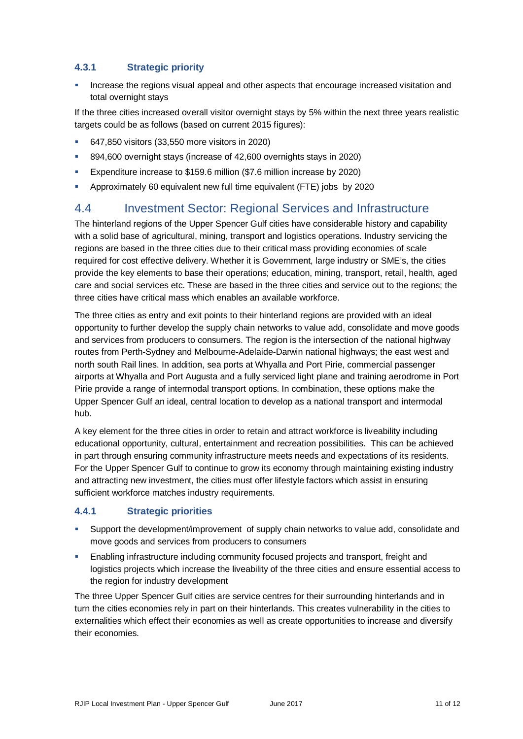#### **4.3.1 Strategic priority**

**Increase the regions visual appeal and other aspects that encourage increased visitation and** total overnight stays

If the three cities increased overall visitor overnight stays by 5% within the next three years realistic targets could be as follows (based on current 2015 figures):

- 647,850 visitors (33,550 more visitors in 2020)
- 894,600 overnight stays (increase of 42,600 overnights stays in 2020)
- **Expenditure increase to \$159.6 million (\$7.6 million increase by 2020)**
- Approximately 60 equivalent new full time equivalent (FTE) jobs by 2020

### 4.4 Investment Sector: Regional Services and Infrastructure

The hinterland regions of the Upper Spencer Gulf cities have considerable history and capability with a solid base of agricultural, mining, transport and logistics operations. Industry servicing the regions are based in the three cities due to their critical mass providing economies of scale required for cost effective delivery. Whether it is Government, large industry or SME's, the cities provide the key elements to base their operations; education, mining, transport, retail, health, aged care and social services etc. These are based in the three cities and service out to the regions; the three cities have critical mass which enables an available workforce.

The three cities as entry and exit points to their hinterland regions are provided with an ideal opportunity to further develop the supply chain networks to value add, consolidate and move goods and services from producers to consumers. The region is the intersection of the national highway routes from Perth-Sydney and Melbourne-Adelaide-Darwin national highways; the east west and north south Rail lines. In addition, sea ports at Whyalla and Port Pirie, commercial passenger airports at Whyalla and Port Augusta and a fully serviced light plane and training aerodrome in Port Pirie provide a range of intermodal transport options. In combination, these options make the Upper Spencer Gulf an ideal, central location to develop as a national transport and intermodal hub.

A key element for the three cities in order to retain and attract workforce is liveability including educational opportunity, cultural, entertainment and recreation possibilities. This can be achieved in part through ensuring community infrastructure meets needs and expectations of its residents. For the Upper Spencer Gulf to continue to grow its economy through maintaining existing industry and attracting new investment, the cities must offer lifestyle factors which assist in ensuring sufficient workforce matches industry requirements.

#### **4.4.1 Strategic priorities**

- Support the development/improvement of supply chain networks to value add, consolidate and move goods and services from producers to consumers
- Enabling infrastructure including community focused projects and transport, freight and logistics projects which increase the liveability of the three cities and ensure essential access to the region for industry development

The three Upper Spencer Gulf cities are service centres for their surrounding hinterlands and in turn the cities economies rely in part on their hinterlands. This creates vulnerability in the cities to externalities which effect their economies as well as create opportunities to increase and diversify their economies.